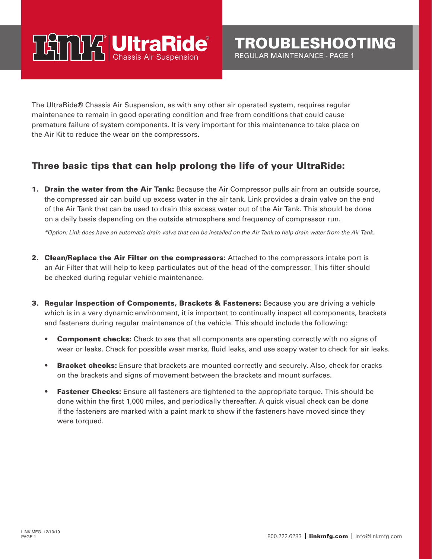## **TAMPY UltraRide**

The UltraRide® Chassis Air Suspension, as with any other air operated system, requires regular maintenance to remain in good operating condition and free from conditions that could cause premature failure of system components. It is very important for this maintenance to take place on the Air Kit to reduce the wear on the compressors.

## Three basic tips that can help prolong the life of your UltraRide:

**1. Drain the water from the Air Tank:** Because the Air Compressor pulls air from an outside source, the compressed air can build up excess water in the air tank. Link provides a drain valve on the end of the Air Tank that can be used to drain this excess water out of the Air Tank. This should be done on a daily basis depending on the outside atmosphere and frequency of compressor run.

*\*Option: Link does have an automatic drain valve that can be installed on the Air Tank to help drain water from the Air Tank.*

- 2. Clean/Replace the Air Filter on the compressors: Attached to the compressors intake port is an Air Filter that will help to keep particulates out of the head of the compressor. This filter should be checked during regular vehicle maintenance.
- **3. Regular Inspection of Components, Brackets & Fasteners:** Because you are driving a vehicle which is in a very dynamic environment, it is important to continually inspect all components, brackets and fasteners during regular maintenance of the vehicle. This should include the following:
	- Component checks: Check to see that all components are operating correctly with no signs of wear or leaks. Check for possible wear marks, fluid leaks, and use soapy water to check for air leaks.
	- **Bracket checks:** Ensure that brackets are mounted correctly and securely. Also, check for cracks on the brackets and signs of movement between the brackets and mount surfaces.
	- **Fastener Checks:** Ensure all fasteners are tightened to the appropriate torque. This should be done within the first 1,000 miles, and periodically thereafter. A quick visual check can be done if the fasteners are marked with a paint mark to show if the fasteners have moved since they were torqued.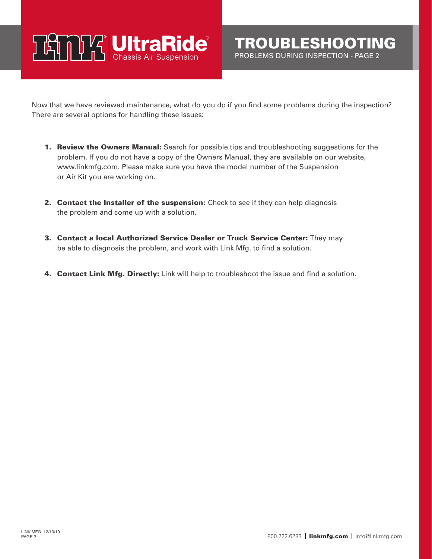## **TAMPY UltraRide**

Now that we have reviewed maintenance, what do you do if you find some problems during the inspection? There are several options for handling these issues:

- **1. Review the Owners Manual:** Search for possible tips and troubleshooting suggestions for the problem. If you do not have a copy of the Owners Manual, they are available on our website, www.linkmfg.com. Please make sure you have the model number of the Suspension or Air Kit you are working on.
- 2. Contact the Installer of the suspension: Check to see if they can help diagnosis the problem and come up with a solution.
- 3. Contact a local Authorized Service Dealer or Truck Service Center: They may be able to diagnosis the problem, and work with Link Mfg. to find a solution.
- 4. Contact Link Mfg. Directly: Link will help to troubleshoot the issue and find a solution.